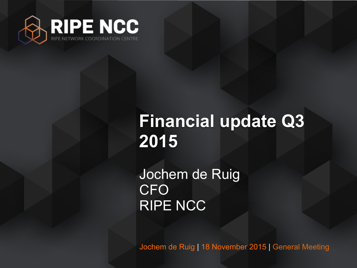

## **Financial update Q3 2015**

Jochem de Ruig CFO RIPE NCC

Jochem de Ruig | 18 November 2015 | General Meeting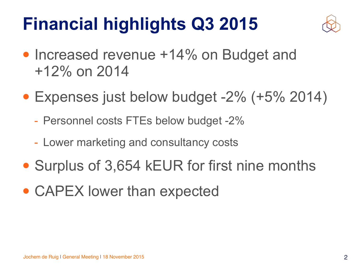# **Financial highlights Q3 2015**



- Increased revenue +14% on Budget and +12% on 2014
- Expenses just below budget -2% (+5% 2014)
	- Personnel costs FTEs below budget -2%
	- Lower marketing and consultancy costs
- Surplus of 3,654 kEUR for first nine months
- CAPEX lower than expected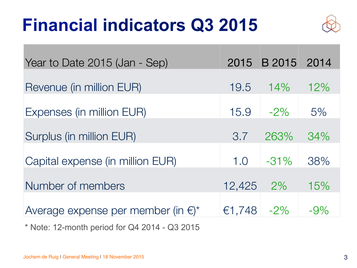## **Financial indicators Q3 2015**



| Year to Date 2015 (Jan - Sep)                | 2015   | B 2015 2014 |        |
|----------------------------------------------|--------|-------------|--------|
| Revenue (in million EUR)                     | 19.5   | 14%         | 12%    |
| Expenses (in million EUR)                    | 15.9   | $-2\%$      | 5%     |
| Surplus (in million EUR)                     | 3.7    | 263%        | 34%    |
| Capital expense (in million EUR)             | 1.0    | $-31\%$     | 38%    |
| Number of members                            | 12,425 | $2\%$       | 15%    |
| Average expense per member (in $\epsilon$ )* | €1,748 | $-2\%$      | $-9\%$ |

\* Note: 12-month period for Q4 2014 - Q3 2015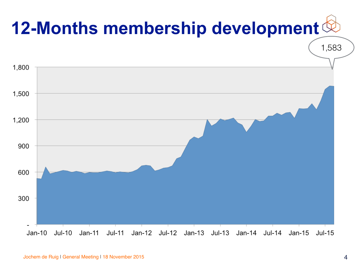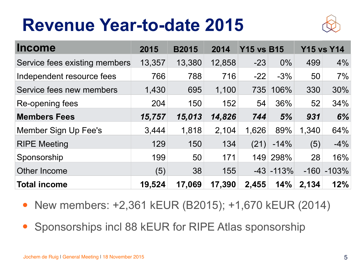## **Revenue Year-to-date 2015**



| <b>Income</b>                 | 2015   | <b>B2015</b> | 2014   | <b>Y15 vs B15</b> |               |        | <b>Y15 vs Y14</b> |
|-------------------------------|--------|--------------|--------|-------------------|---------------|--------|-------------------|
| Service fees existing members | 13,357 | 13,380       | 12,858 | $-23$             | $0\%$         | 499    | 4%                |
| Independent resource fees     | 766    | 788          | 716    | $-22$             | $-3%$         | 50     | 7%                |
| Service fees new members      | 1,430  | 695          | 1,100  | 735               | 106%          | 330    | 30%               |
| Re-opening fees               | 204    | 150          | 152    | 54                | 36%           | 52     | 34%               |
| <b>Members Fees</b>           | 15,757 | 15,013       | 14,826 | 744               | 5%            | 931    | 6%                |
| Member Sign Up Fee's          | 3,444  | 1,818        | 2,104  | 1,626             | 89%           | 1,340  | 64%               |
| <b>RIPE Meeting</b>           | 129    | 150          | 134    | (21)              | $-14%$        | (5)    | $-4%$             |
| Sponsorship                   | 199    | 50           | 171    | 149               | 298%          | 28     | 16%               |
| <b>Other Income</b>           | (5)    | 38           | 155    |                   | $-43$ $-113%$ | $-160$ | $-103%$           |
| <b>Total income</b>           | 19,524 | 17,069       | 17,390 | 2,455             | 14%           | 2,134  | 12%               |

- New members: +2,361 kEUR (B2015); +1,670 kEUR (2014)
- Sponsorships incl 88 kEUR for RIPE Atlas sponsorship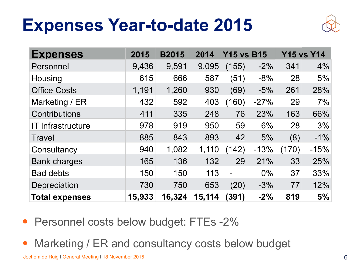### **Expenses Year-to-date 2015**



| <b>Expenses</b>          | 2015   | <b>B2015</b> | 2014   | <b>Y15 vs B15</b> |        |       | <b>Y15 vs Y14</b> |
|--------------------------|--------|--------------|--------|-------------------|--------|-------|-------------------|
| Personnel                | 9,436  | 9,591        | 9,095  | (155)             | $-2\%$ | 341   | 4%                |
| Housing                  | 615    | 666          | 587    | (51)              | $-8%$  | 28    | 5%                |
| <b>Office Costs</b>      | 1,191  | 1,260        | 930    | (69)              | $-5%$  | 261   | 28%               |
| Marketing / ER           | 432    | 592          | 403    | (160)             | $-27%$ | 29    | 7%                |
| <b>Contributions</b>     | 411    | 335          | 248    | 76                | 23%    | 163   | 66%               |
| <b>IT Infrastructure</b> | 978    | 919          | 950    | 59                | 6%     | 28    | 3%                |
| <b>Travel</b>            | 885    | 843          | 893    | 42                | 5%     | (8)   | $-1\%$            |
| Consultancy              | 940    | 1,082        | 1,110  | (142)             | $-13%$ | (170) | $-15%$            |
| <b>Bank charges</b>      | 165    | 136          | 132    | 29                | 21%    | 33    | 25%               |
| <b>Bad debts</b>         | 150    | 150          | 113    | $\blacksquare$    | $0\%$  | 37    | 33%               |
| Depreciation             | 730    | 750          | 653    | (20)              | $-3%$  | 77    | 12%               |
| <b>Total expenses</b>    | 15,933 | 16,324       | 15,114 | (391)             | $-2\%$ | 819   | 5%                |

- Personnel costs below budget: FTEs -2%
- Marketing / ER and consultancy costs below budget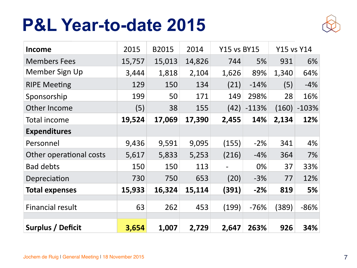#### **P&L Year-to-date 2015**



| Income                   | 2015   | <b>B2015</b> | 2014   | <b>Y15 vs BY15</b>       |         | <b>Y15 vs Y14</b> |         |
|--------------------------|--------|--------------|--------|--------------------------|---------|-------------------|---------|
| <b>Members Fees</b>      | 15,757 | 15,013       | 14,826 | 744                      | 5%      | 931               | 6%      |
| Member Sign Up           | 3,444  | 1,818        | 2,104  | 1,626                    | 89%     | 1,340             | 64%     |
| <b>RIPE Meeting</b>      | 129    | 150          | 134    | (21)                     | $-14%$  | (5)               | $-4%$   |
| Sponsorship              | 199    | 50           | 171    | 149                      | 298%    | 28                | 16%     |
| Other Income             | (5)    | 38           | 155    | (42)                     | $-113%$ | (160)             | $-103%$ |
| Total income             | 19,524 | 17,069       | 17,390 | 2,455                    | 14%     | 2,134             | 12%     |
| <b>Expenditures</b>      |        |              |        |                          |         |                   |         |
| Personnel                | 9,436  | 9,591        | 9,095  | (155)                    | $-2%$   | 341               | 4%      |
| Other operational costs  | 5,617  | 5,833        | 5,253  | (216)                    | $-4%$   | 364               | 7%      |
| <b>Bad debts</b>         | 150    | 150          | 113    | $\overline{\phantom{0}}$ | 0%      | 37                | 33%     |
| Depreciation             | 730    | 750          | 653    | (20)                     | $-3%$   | 77                | 12%     |
| <b>Total expenses</b>    | 15,933 | 16,324       | 15,114 | (391)                    | $-2%$   | 819               | 5%      |
|                          |        |              |        |                          |         |                   |         |
| <b>Financial result</b>  | 63     | 262          | 453    | (199)                    | $-76%$  | (389)             | $-86%$  |
| <b>Surplus / Deficit</b> | 3,654  | 1,007        | 2,729  | 2,647                    | 263%    | 926               | 34%     |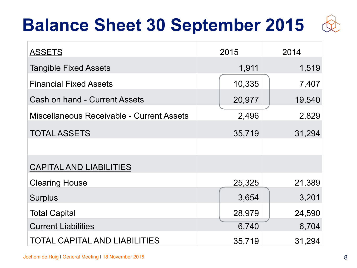## **Balance Sheet 30 September 2015**



| <b>ASSETS</b>                             | 2015   | 2014   |  |  |
|-------------------------------------------|--------|--------|--|--|
| <b>Tangible Fixed Assets</b>              | 1,911  | 1,519  |  |  |
| <b>Financial Fixed Assets</b>             | 10,335 | 7,407  |  |  |
| <b>Cash on hand - Current Assets</b>      | 20,977 | 19,540 |  |  |
| Miscellaneous Receivable - Current Assets | 2,496  | 2,829  |  |  |
| <b>TOTAL ASSETS</b>                       | 35,719 | 31,294 |  |  |
|                                           |        |        |  |  |
| <b>CAPITAL AND LIABILITIES</b>            |        |        |  |  |
| <b>Clearing House</b>                     | 25,325 | 21,389 |  |  |
| <b>Surplus</b>                            | 3,654  | 3,201  |  |  |
| <b>Total Capital</b>                      | 28,979 | 24,590 |  |  |
| <b>Current Liabilities</b>                | 6,740  | 6,704  |  |  |
| <b>TOTAL CAPITAL AND LIABILITIES</b>      | 35,719 | 31,294 |  |  |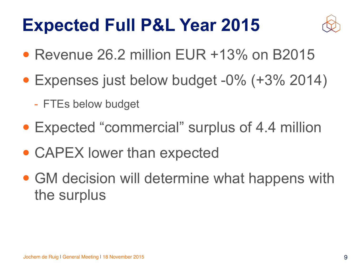## **Expected Full P&L Year 2015**



- Revenue 26.2 million EUR +13% on B2015
- Expenses just below budget -0% (+3% 2014)
	- FTEs below budget
- Expected "commercial" surplus of 4.4 million
- CAPEX lower than expected
- GM decision will determine what happens with the surplus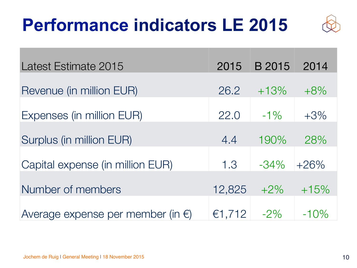# **Performance indicators LE 2015**



| Latest Estimate 2015                        | 2015   | B 2015  | 2014    |
|---------------------------------------------|--------|---------|---------|
| Revenue (in million EUR)                    | 26.2   | $+13%$  | $+8\%$  |
| Expenses (in million EUR)                   | 22.0   | $-1\%$  | $+3\%$  |
| Surplus (in million EUR)                    | 4.4    | 190%    | 28%     |
| Capital expense (in million EUR)            | 1.3    | $-34\%$ | $+26%$  |
| Number of members                           | 12,825 | $+2\%$  | $+15%$  |
| Average expense per member (in $\epsilon$ ) | €1,712 | $-2\%$  | $-10\%$ |